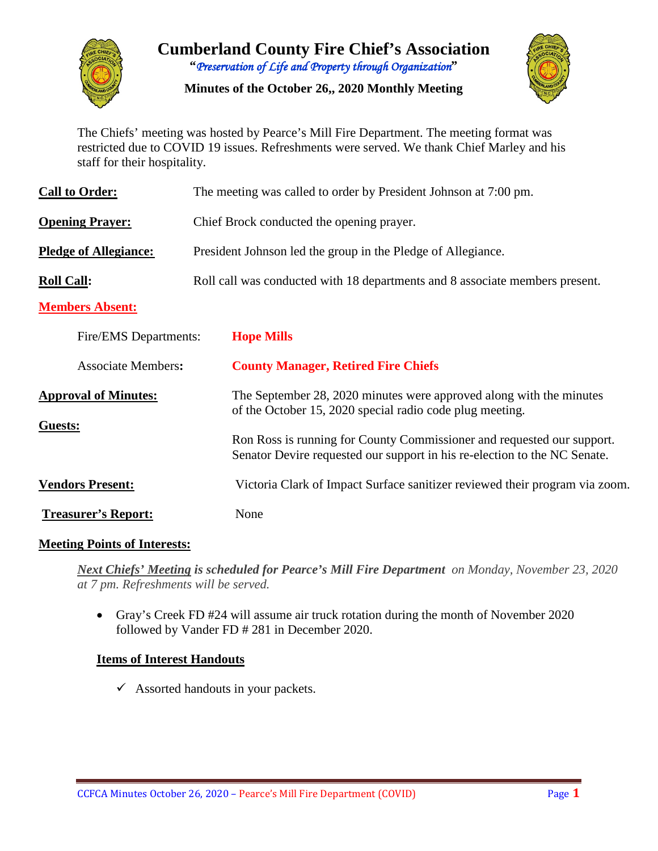

# **Cumberland County Fire Chief's Association "***Preservation of Life and Property through Organization***"**

**Minutes of the October 26,, 2020 Monthly Meeting**



The Chiefs' meeting was hosted by Pearce's Mill Fire Department. The meeting format was restricted due to COVID 19 issues. Refreshments were served. We thank Chief Marley and his staff for their hospitality.

| <b>Call to Order:</b>        | The meeting was called to order by President Johnson at 7:00 pm.                                                                                    |  |  |  |  |  |  |  |
|------------------------------|-----------------------------------------------------------------------------------------------------------------------------------------------------|--|--|--|--|--|--|--|
| <b>Opening Prayer:</b>       | Chief Brock conducted the opening prayer.                                                                                                           |  |  |  |  |  |  |  |
| <b>Pledge of Allegiance:</b> | President Johnson led the group in the Pledge of Allegiance.                                                                                        |  |  |  |  |  |  |  |
| <b>Roll Call:</b>            | Roll call was conducted with 18 departments and 8 associate members present.                                                                        |  |  |  |  |  |  |  |
| <b>Members Absent:</b>       |                                                                                                                                                     |  |  |  |  |  |  |  |
| Fire/EMS Departments:        | <b>Hope Mills</b>                                                                                                                                   |  |  |  |  |  |  |  |
| <b>Associate Members:</b>    | <b>County Manager, Retired Fire Chiefs</b>                                                                                                          |  |  |  |  |  |  |  |
| <b>Approval of Minutes:</b>  | The September 28, 2020 minutes were approved along with the minutes<br>of the October 15, 2020 special radio code plug meeting.                     |  |  |  |  |  |  |  |
| Guests:                      | Ron Ross is running for County Commissioner and requested our support.<br>Senator Devire requested our support in his re-election to the NC Senate. |  |  |  |  |  |  |  |
| <b>Vendors Present:</b>      | Victoria Clark of Impact Surface sanitizer reviewed their program via zoom.                                                                         |  |  |  |  |  |  |  |
| <b>Treasurer's Report:</b>   | None                                                                                                                                                |  |  |  |  |  |  |  |

#### **Meeting Points of Interests:**

*Next Chiefs' Meeting is scheduled for Pearce's Mill Fire Department on Monday, November 23, 2020 at 7 pm. Refreshments will be served.* 

• Gray's Creek FD #24 will assume air truck rotation during the month of November 2020 followed by Vander FD # 281 in December 2020.

#### **Items of Interest Handouts**

 $\checkmark$  Assorted handouts in your packets.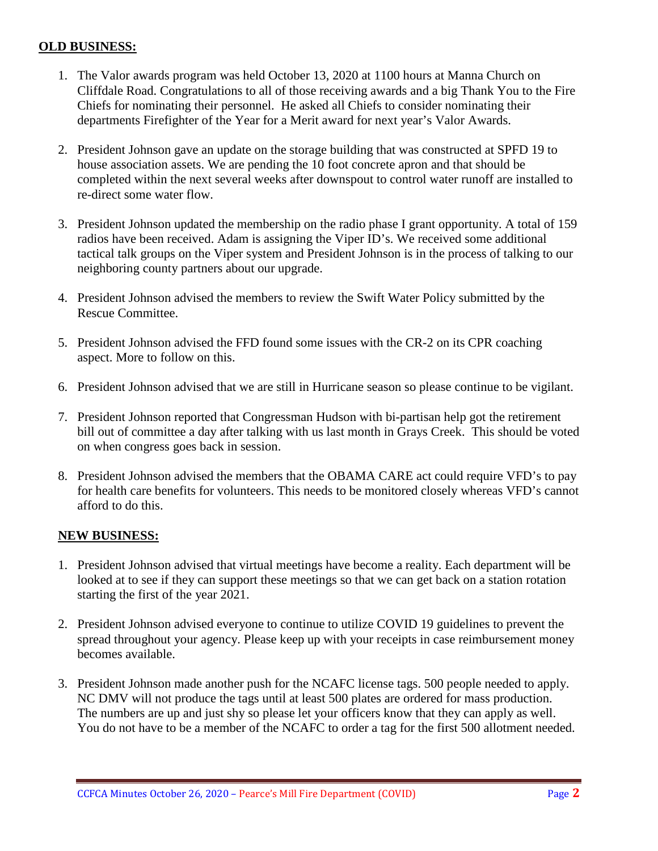#### **OLD BUSINESS:**

- 1. The Valor awards program was held October 13, 2020 at 1100 hours at Manna Church on Cliffdale Road. Congratulations to all of those receiving awards and a big Thank You to the Fire Chiefs for nominating their personnel. He asked all Chiefs to consider nominating their departments Firefighter of the Year for a Merit award for next year's Valor Awards.
- 2. President Johnson gave an update on the storage building that was constructed at SPFD 19 to house association assets. We are pending the 10 foot concrete apron and that should be completed within the next several weeks after downspout to control water runoff are installed to re-direct some water flow.
- 3. President Johnson updated the membership on the radio phase I grant opportunity. A total of 159 radios have been received. Adam is assigning the Viper ID's. We received some additional tactical talk groups on the Viper system and President Johnson is in the process of talking to our neighboring county partners about our upgrade.
- 4. President Johnson advised the members to review the Swift Water Policy submitted by the Rescue Committee.
- 5. President Johnson advised the FFD found some issues with the CR-2 on its CPR coaching aspect. More to follow on this.
- 6. President Johnson advised that we are still in Hurricane season so please continue to be vigilant.
- 7. President Johnson reported that Congressman Hudson with bi-partisan help got the retirement bill out of committee a day after talking with us last month in Grays Creek. This should be voted on when congress goes back in session.
- 8. President Johnson advised the members that the OBAMA CARE act could require VFD's to pay for health care benefits for volunteers. This needs to be monitored closely whereas VFD's cannot afford to do this.

#### **NEW BUSINESS:**

- 1. President Johnson advised that virtual meetings have become a reality. Each department will be looked at to see if they can support these meetings so that we can get back on a station rotation starting the first of the year 2021.
- 2. President Johnson advised everyone to continue to utilize COVID 19 guidelines to prevent the spread throughout your agency. Please keep up with your receipts in case reimbursement money becomes available.
- 3. President Johnson made another push for the NCAFC license tags. 500 people needed to apply. NC DMV will not produce the tags until at least 500 plates are ordered for mass production. The numbers are up and just shy so please let your officers know that they can apply as well. You do not have to be a member of the NCAFC to order a tag for the first 500 allotment needed.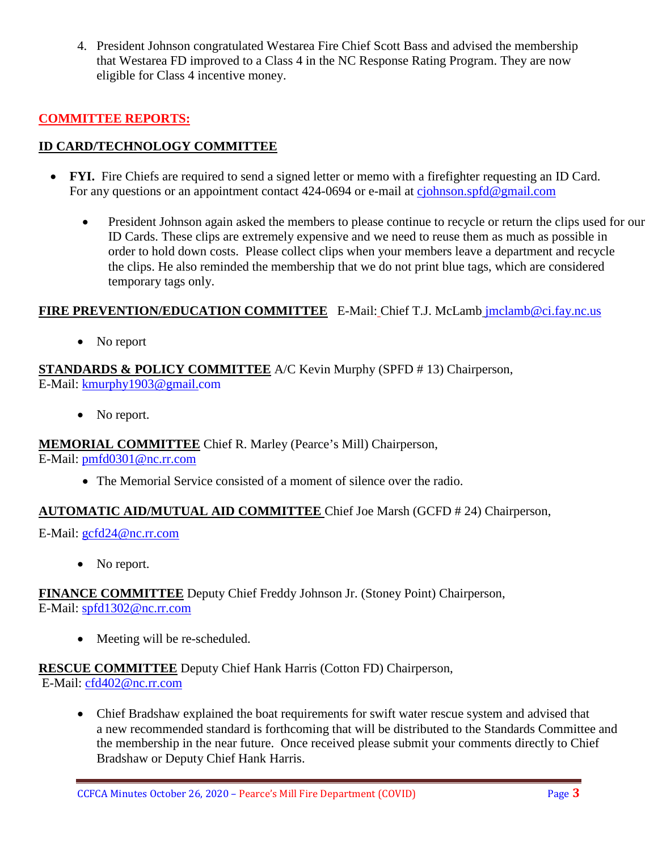4. President Johnson congratulated Westarea Fire Chief Scott Bass and advised the membership that Westarea FD improved to a Class 4 in the NC Response Rating Program. They are now eligible for Class 4 incentive money.

# **COMMITTEE REPORTS:**

## **ID CARD/TECHNOLOGY COMMITTEE**

- **FYI.** Fire Chiefs are required to send a signed letter or memo with a firefighter requesting an ID Card. For any questions or an appointment contact 424-0694 or e-mail at [cjohnson.spfd@gmail.com](mailto:cjohnson.spfd@gmail.com)
	- President Johnson again asked the members to please continue to recycle or return the clips used for our ID Cards. These clips are extremely expensive and we need to reuse them as much as possible in order to hold down costs. Please collect clips when your members leave a department and recycle the clips. He also reminded the membership that we do not print blue tags, which are considered temporary tags only.

#### **FIRE PREVENTION/EDUCATION COMMITTEE** E-Mail: Chief T.J. McLamb [jmclamb@ci.fay.nc.us](mailto:jmclamb@ci.fay.nc.us)

• No report

#### **STANDARDS & POLICY COMMITTEE** A/C Kevin Murphy (SPFD # 13) Chairperson, E-Mail: [kmurphy1903@gmail.com](mailto:kmurphy1903@gmail.com)

• No report.

#### **MEMORIAL COMMITTEE** Chief R. Marley (Pearce's Mill) Chairperson,

E-Mail: [pmfd0301@nc.rr.com](mailto:pmfd0301@nc.rr.com)

• The Memorial Service consisted of a moment of silence over the radio.

#### **AUTOMATIC AID/MUTUAL AID COMMITTEE** Chief Joe Marsh (GCFD # 24) Chairperson,

E-Mail: [gcfd24@nc.rr.com](mailto:gcfd24@nc.rr.com)

• No report.

**FINANCE COMMITTEE** Deputy Chief Freddy Johnson Jr. (Stoney Point) Chairperson, E-Mail: [spfd1302@nc.rr.com](mailto:spfd1302@nc.rr.com)

• Meeting will be re-scheduled.

#### **RESCUE COMMITTEE** Deputy Chief Hank Harris (Cotton FD) Chairperson,

E-Mail: [cfd402@nc.rr.com](mailto:cfd402@nc.rr.com)

• Chief Bradshaw explained the boat requirements for swift water rescue system and advised that a new recommended standard is forthcoming that will be distributed to the Standards Committee and the membership in the near future. Once received please submit your comments directly to Chief Bradshaw or Deputy Chief Hank Harris.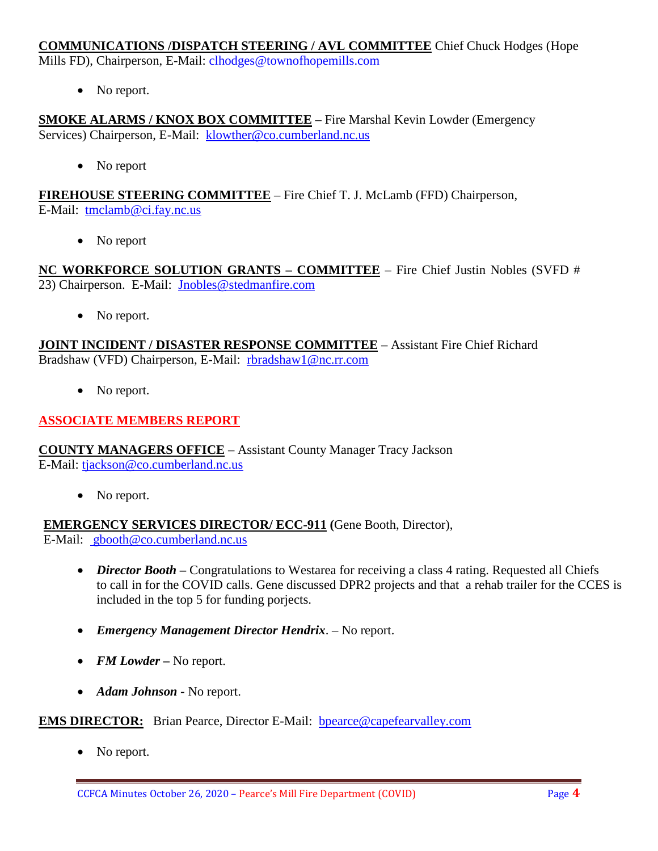#### **COMMUNICATIONS /DISPATCH STEERING / AVL COMMITTEE** Chief Chuck Hodges (Hope

Mills FD), Chairperson, E-Mail: clhodges@townofhopemills.com

• No report.

**SMOKE ALARMS / KNOX BOX COMMITTEE** – Fire Marshal Kevin Lowder (Emergency Services) Chairperson, E-Mail: [klowther@co.cumberland.nc.us](mailto:klowther@co.cumberland.nc.us)

• No report

**FIREHOUSE STEERING COMMITTEE** – Fire Chief T. J. McLamb (FFD) Chairperson, E-Mail: [tmclamb@ci.fay.nc.us](mailto:tmclamb@ci.fay.nc.us)

• No report

**NC WORKFORCE SOLUTION GRANTS – COMMITTEE** – Fire Chief Justin Nobles (SVFD # 23) Chairperson. E-Mail: [Jnobles@stedmanfire.com](mailto:Jnobles@stedmanfire.com)

• No report.

**JOINT INCIDENT / DISASTER RESPONSE COMMITTEE** – Assistant Fire Chief Richard Bradshaw (VFD) Chairperson, E-Mail: [rbradshaw1@nc.rr.com](mailto:rbradshaw1@nc.rr.com)

• No report.

## **ASSOCIATE MEMBERS REPORT**

**COUNTY MANAGERS OFFICE** – Assistant County Manager Tracy Jackson E-Mail: [tjackson@co.cumberland.nc.us](mailto:tjackson@co.cumberland.nc.us)

• No report.

**EMERGENCY SERVICES DIRECTOR/ ECC-911 (**Gene Booth, Director), E-Mail: [gbooth@co.cumberland.nc.us](mailto:gbooth@co.cumberland.nc.us)

- *Director Booth* Congratulations to Westarea for receiving a class 4 rating. Requested all Chiefs to call in for the COVID calls. Gene discussed DPR2 projects and that a rehab trailer for the CCES is included in the top 5 for funding porjects.
- *Emergency Management Director Hendrix*. No report.
- *FM Lowder* No report.
- *Adam Johnson -* No report.

#### **EMS DIRECTOR:** Brian Pearce, Director E-Mail: bpearce@capefearvalley.com

No report.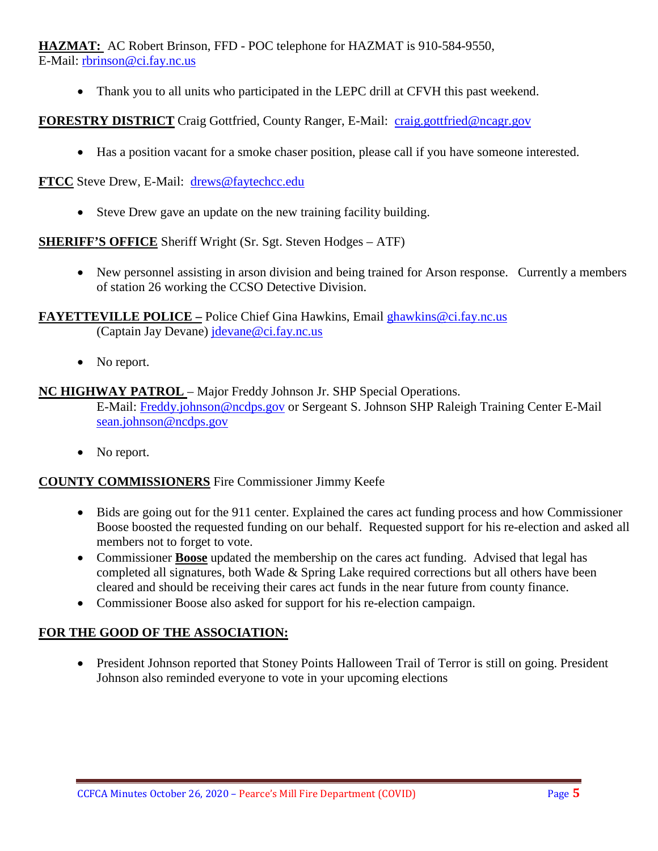**HAZMAT:** AC Robert Brinson, FFD - POC telephone for HAZMAT is 910-584-9550, E-Mail: [rbrinson@ci.fay.nc.us](mailto:rbrinson@ci.fay.nc.us)

• Thank you to all units who participated in the LEPC drill at CFVH this past weekend.

**FORESTRY DISTRICT** Craig Gottfried, County Ranger, E-Mail: [craig.gottfried@ncagr.gov](mailto:craig.gottfried@ncagr.gov)

• Has a position vacant for a smoke chaser position, please call if you have someone interested.

**FTCC** Steve Drew, E-Mail: [drews@faytechcc.edu](mailto:drews@faytechcc.edu)

• Steve Drew gave an update on the new training facility building.

**SHERIFF'S OFFICE** Sheriff Wright (Sr. Sgt. Steven Hodges – ATF)

• New personnel assisting in arson division and being trained for Arson response. Currently a members of station 26 working the CCSO Detective Division.

**FAYETTEVILLE POLICE –** Police Chief Gina Hawkins, Email [ghawkins@ci.fay.nc.us](mailto:ghawkins@ci.fay.nc.us)  (Captain Jay Devane) [jdevane@ci.fay.nc.us](mailto:jdevane@ci.fay.nc.us)

• No report.

## **NC HIGHWAY PATROL** – Major Freddy Johnson Jr. SHP Special Operations. E-Mail: [Freddy.johnson@ncdps.gov](mailto:Freddy.johnson@ncdps.gov) or Sergeant S. Johnson SHP Raleigh Training Center E-Mail [sean.johnson@ncdps.gov](mailto:sean.johnson@ncdps.gov)

• No report.

#### **COUNTY COMMISSIONERS** Fire Commissioner Jimmy Keefe

- Bids are going out for the 911 center. Explained the cares act funding process and how Commissioner Boose boosted the requested funding on our behalf. Requested support for his re-election and asked all members not to forget to vote.
- Commissioner **Boose** updated the membership on the cares act funding. Advised that legal has completed all signatures, both Wade & Spring Lake required corrections but all others have been cleared and should be receiving their cares act funds in the near future from county finance.
- Commissioner Boose also asked for support for his re-election campaign.

#### **FOR THE GOOD OF THE ASSOCIATION:**

• President Johnson reported that Stoney Points Halloween Trail of Terror is still on going. President Johnson also reminded everyone to vote in your upcoming elections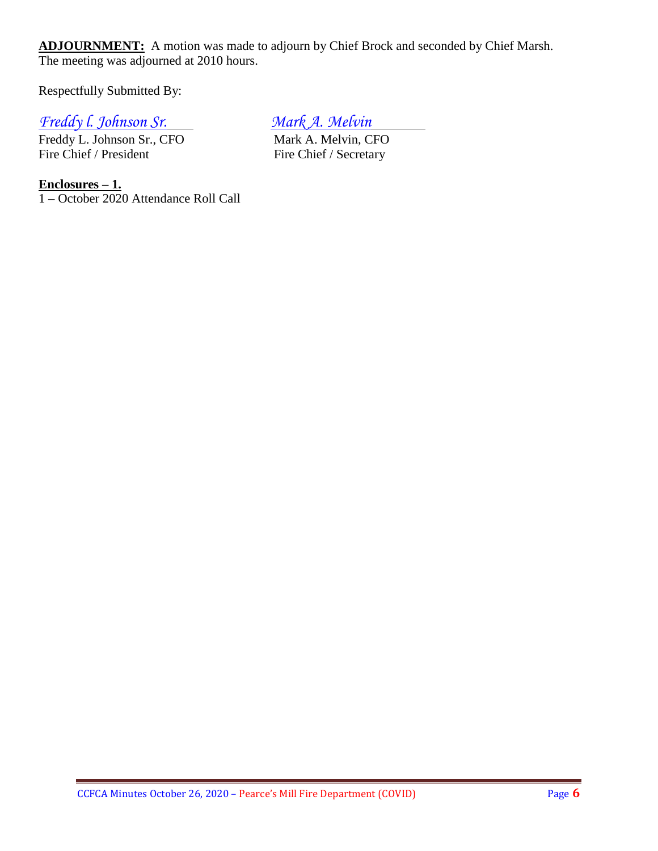**ADJOURNMENT:** A motion was made to adjourn by Chief Brock and seconded by Chief Marsh. The meeting was adjourned at 2010 hours.

Respectfully Submitted By:

# *Freddy L. Johnson Sr.*<br>
Freddy L. Johnson Sr., CFO<br>
Mark A. Melvin, CFO

Freddy L. Johnson Sr., CFO<br>Fire Chief / President

Fire Chief / Secretary

**Enclosures – 1.** 1 – October 2020 Attendance Roll Call